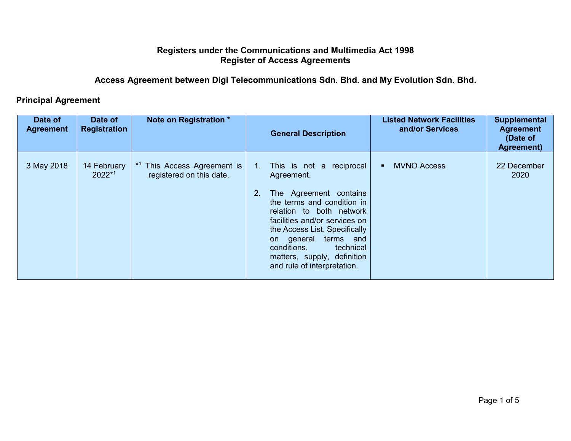## **Registers under the Communications and Multimedia Act 1998 Register of Access Agreements**

## **Access Agreement between Digi Telecommunications Sdn. Bhd. and My Evolution Sdn. Bhd.**

## **Principal Agreement**

| Date of<br><b>Agreement</b> | Date of<br><b>Registration</b> | Note on Registration *                               |                   | <b>General Description</b>                                                                                                                                                                                                                                                                                        | <b>Listed Network Facilities</b><br>and/or Services | <b>Supplemental</b><br><b>Agreement</b><br>(Date of<br>Agreement) |
|-----------------------------|--------------------------------|------------------------------------------------------|-------------------|-------------------------------------------------------------------------------------------------------------------------------------------------------------------------------------------------------------------------------------------------------------------------------------------------------------------|-----------------------------------------------------|-------------------------------------------------------------------|
| 3 May 2018                  | 14 February<br>$2022*1$        | This Access Agreement is<br>registered on this date. | $1_{\cdot}$<br>2. | This is not a reciprocal<br>Agreement.<br>The Agreement contains<br>the terms and condition in<br>relation to both network<br>facilities and/or services on<br>the Access List. Specifically<br>terms and<br>on general<br>technical<br>conditions,<br>matters, supply, definition<br>and rule of interpretation. | <b>MVNO Access</b>                                  | 22 December<br>2020                                               |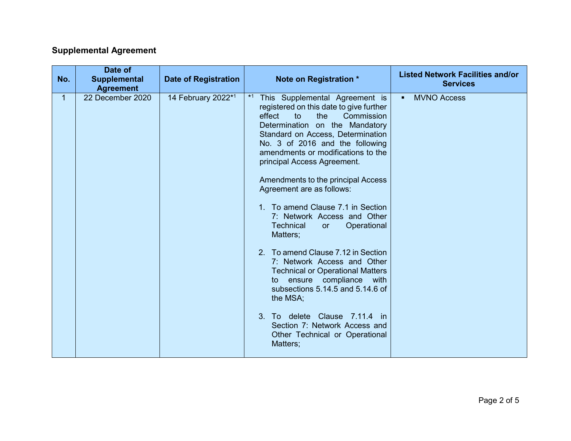## **Supplemental Agreement**

| No. | Date of<br><b>Supplemental</b> | <b>Date of Registration</b> | Note on Registration *                                                                                                                                                                                                                                                                                                                                                                                                                                                                                                                                                                                                                                                                                                                                                                                                          | <b>Listed Network Facilities and/or</b> |
|-----|--------------------------------|-----------------------------|---------------------------------------------------------------------------------------------------------------------------------------------------------------------------------------------------------------------------------------------------------------------------------------------------------------------------------------------------------------------------------------------------------------------------------------------------------------------------------------------------------------------------------------------------------------------------------------------------------------------------------------------------------------------------------------------------------------------------------------------------------------------------------------------------------------------------------|-----------------------------------------|
|     | <b>Agreement</b>               |                             |                                                                                                                                                                                                                                                                                                                                                                                                                                                                                                                                                                                                                                                                                                                                                                                                                                 | <b>Services</b>                         |
| 1.  | 22 December 2020               | 14 February 2022*1          | $*1$<br>This Supplemental Agreement is<br>registered on this date to give further<br>effect<br>Commission<br>to<br>the<br>Determination on the Mandatory<br>Standard on Access, Determination<br>No. 3 of 2016 and the following<br>amendments or modifications to the<br>principal Access Agreement.<br>Amendments to the principal Access<br>Agreement are as follows:<br>1. To amend Clause 7.1 in Section<br>7: Network Access and Other<br><b>Technical</b><br>Operational<br>or<br>Matters;<br>To amend Clause 7.12 in Section<br>$\mathcal{P}$<br>7: Network Access and Other<br><b>Technical or Operational Matters</b><br>ensure compliance with<br>to<br>subsections 5.14.5 and 5.14.6 of<br>the MSA;<br>3. To delete Clause 7.11.4 in<br>Section 7: Network Access and<br>Other Technical or Operational<br>Matters; | <b>MVNO Access</b><br>п                 |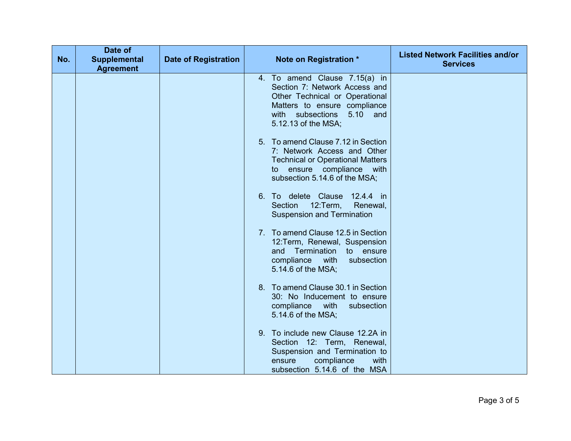| No. | Date of<br><b>Supplemental</b><br><b>Agreement</b> | <b>Date of Registration</b> | Note on Registration *                                                                                                                                                                     | <b>Listed Network Facilities and/or</b><br><b>Services</b> |
|-----|----------------------------------------------------|-----------------------------|--------------------------------------------------------------------------------------------------------------------------------------------------------------------------------------------|------------------------------------------------------------|
|     |                                                    |                             | 4. To amend Clause 7.15(a) in<br>Section 7: Network Access and<br>Other Technical or Operational<br>Matters to ensure compliance<br>5.10<br>with subsections<br>and<br>5.12.13 of the MSA; |                                                            |
|     |                                                    |                             | 5. To amend Clause 7.12 in Section<br>7: Network Access and Other<br><b>Technical or Operational Matters</b><br>ensure compliance<br>with<br>to<br>subsection 5.14.6 of the MSA;           |                                                            |
|     |                                                    |                             | 6. To delete Clause<br>$12.4.4$ in<br>12:Term,<br>Section<br>Renewal,<br><b>Suspension and Termination</b>                                                                                 |                                                            |
|     |                                                    |                             | 7. To amend Clause 12.5 in Section<br>12: Term, Renewal, Suspension<br>Termination to ensure<br>and<br>compliance<br>with<br>subsection<br>5.14.6 of the MSA;                              |                                                            |
|     |                                                    |                             | 8. To amend Clause 30.1 in Section<br>30: No Inducement to ensure<br>compliance<br>with<br>subsection<br>5.14.6 of the MSA;                                                                |                                                            |
|     |                                                    |                             | 9. To include new Clause 12.2A in<br>Section 12: Term, Renewal,<br>Suspension and Termination to<br>compliance<br>with<br>ensure<br>subsection 5.14.6 of the MSA                           |                                                            |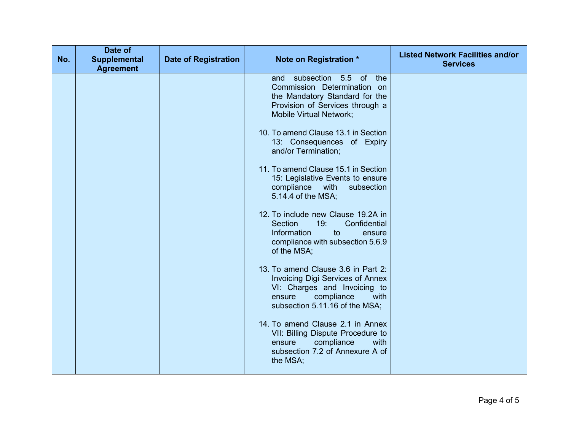| No. | Date of<br><b>Supplemental</b><br><b>Agreement</b> | <b>Date of Registration</b> | Note on Registration *                                                                                                                                                          | <b>Listed Network Facilities and/or</b><br><b>Services</b> |
|-----|----------------------------------------------------|-----------------------------|---------------------------------------------------------------------------------------------------------------------------------------------------------------------------------|------------------------------------------------------------|
|     |                                                    |                             | subsection 5.5 of<br>the<br>and<br>Commission Determination on<br>the Mandatory Standard for the<br>Provision of Services through a<br><b>Mobile Virtual Network;</b>           |                                                            |
|     |                                                    |                             | 10. To amend Clause 13.1 in Section<br>13: Consequences of Expiry<br>and/or Termination;                                                                                        |                                                            |
|     |                                                    |                             | 11. To amend Clause 15.1 in Section<br>15: Legislative Events to ensure<br>compliance<br>with<br>subsection<br>5.14.4 of the MSA;                                               |                                                            |
|     |                                                    |                             | 12. To include new Clause 19.2A in<br>19:<br>Confidential<br>Section<br>Information<br>to<br>ensure<br>compliance with subsection 5.6.9<br>of the MSA;                          |                                                            |
|     |                                                    |                             | 13. To amend Clause 3.6 in Part 2:<br><b>Invoicing Digi Services of Annex</b><br>VI: Charges and Invoicing to<br>compliance<br>with<br>ensure<br>subsection 5.11.16 of the MSA; |                                                            |
|     |                                                    |                             | 14. To amend Clause 2.1 in Annex<br>VII: Billing Dispute Procedure to<br>compliance<br>with<br>ensure<br>subsection 7.2 of Annexure A of<br>the MSA;                            |                                                            |